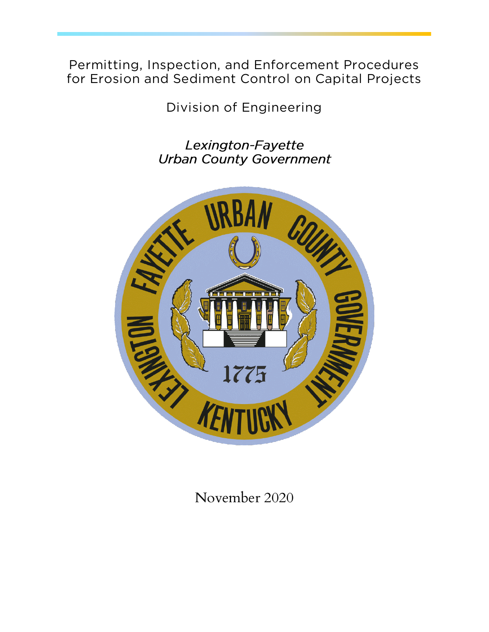**Permitting, Inspection, and Enforcement Procedures for Erosion and Sediment Control on Capital Projects**

**Division of Engineering**

Lexington-Fayette **Urban County Government** 



November 2020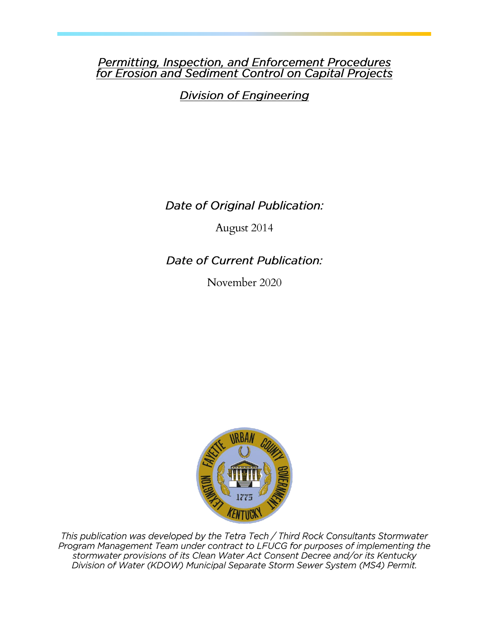# **Permitting, Inspection, and Enforcement Procedures<br>for Erosion and Sediment Control on Capital Projects**

**Division of Engineering** 

Date of Original Publication:

August 2014

**Date of Current Publication:** 

November 2020



This publication was developed by the Tetra Tech / Third Rock Consultants Stormwater Program Management Team under contract to LFUCG for purposes of implementing the stormwater provisions of its Clean Water Act Consent Decree and/or its Kentucky Division of Water (KDOW) Municipal Separate Storm Sewer System (MS4) Permit.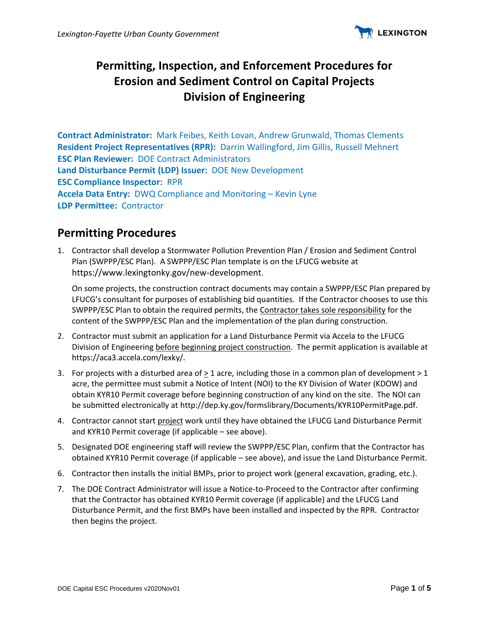

## **Permitting, Inspection, and Enforcement Procedures for Erosion and Sediment Control on Capital Projects Division of Engineering**

**Contract Administrator:** Mark Feibes, Keith Lovan, Andrew Grunwald, Thomas Clements **Resident Project Representatives (RPR):** Darrin Wallingford, Jim Gillis, Russell Mehnert **ESC Plan Reviewer:** DOE Contract Administrators **Land Disturbance Permit (LDP) Issuer:** DOE New Development **ESC Compliance Inspector:** RPR **Accela Data Entry:** DWQ Compliance and Monitoring – Kevin Lyne **LDP Permittee:** Contractor

#### **Permitting Procedures**

1. Contractor shall develop a Stormwater Pollution Prevention Plan / Erosion and Sediment Control Plan (SWPPP/ESC Plan). A SWPPP/ESC Plan template is on the LFUCG website at https://www.lexingtonky.gov/new-development.

On some projects, the construction contract documents may contain a SWPPP/ESC Plan prepared by LFUCG's consultant for purposes of establishing bid quantities. If the Contractor chooses to use this SWPPP/ESC Plan to obtain the required permits, the Contractor takes sole responsibility for the content of the SWPPP/ESC Plan and the implementation of the plan during construction.

- 2. Contractor must submit an application for a Land Disturbance Permit via Accela to the LFUCG Division of Engineering before beginning project construction. The permit application is available at https://aca3.accela.com/lexky/.
- 3. For projects with a disturbed area of > 1 acre, including those in a common plan of development > 1 acre, the permittee must submit a Notice of Intent (NOI) to the KY Division of Water (KDOW) and obtain KYR10 Permit coverage before beginning construction of any kind on the site. The NOI can be submitted electronically at http://dep.ky.gov/formslibrary/Documents/KYR10PermitPage.pdf.
- 4. Contractor cannot start project work until they have obtained the LFUCG Land Disturbance Permit and KYR10 Permit coverage (if applicable – see above).
- 5. Designated DOE engineering staff will review the SWPPP/ESC Plan, confirm that the Contractor has obtained KYR10 Permit coverage (if applicable – see above), and issue the Land Disturbance Permit.
- 6. Contractor then installs the initial BMPs, prior to project work (general excavation, grading, etc.).
- 7. The DOE Contract Administrator will issue a Notice-to-Proceed to the Contractor after confirming that the Contractor has obtained KYR10 Permit coverage (if applicable) and the LFUCG Land Disturbance Permit, and the first BMPs have been installed and inspected by the RPR. Contractor then begins the project.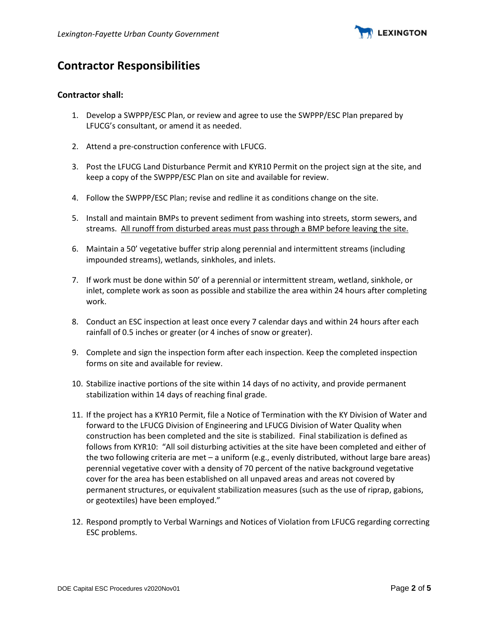

## **Contractor Responsibilities**

#### **Contractor shall:**

- 1. Develop a SWPPP/ESC Plan, or review and agree to use the SWPPP/ESC Plan prepared by LFUCG's consultant, or amend it as needed.
- 2. Attend a pre-construction conference with LFUCG.
- 3. Post the LFUCG Land Disturbance Permit and KYR10 Permit on the project sign at the site, and keep a copy of the SWPPP/ESC Plan on site and available for review.
- 4. Follow the SWPPP/ESC Plan; revise and redline it as conditions change on the site.
- 5. Install and maintain BMPs to prevent sediment from washing into streets, storm sewers, and streams. All runoff from disturbed areas must pass through a BMP before leaving the site.
- 6. Maintain a 50' vegetative buffer strip along perennial and intermittent streams (including impounded streams), wetlands, sinkholes, and inlets.
- 7. If work must be done within 50' of a perennial or intermittent stream, wetland, sinkhole, or inlet, complete work as soon as possible and stabilize the area within 24 hours after completing work.
- 8. Conduct an ESC inspection at least once every 7 calendar days and within 24 hours after each rainfall of 0.5 inches or greater (or 4 inches of snow or greater).
- 9. Complete and sign the inspection form after each inspection. Keep the completed inspection forms on site and available for review.
- 10. Stabilize inactive portions of the site within 14 days of no activity, and provide permanent stabilization within 14 days of reaching final grade.
- 11. If the project has a KYR10 Permit, file a Notice of Termination with the KY Division of Water and forward to the LFUCG Division of Engineering and LFUCG Division of Water Quality when construction has been completed and the site is stabilized. Final stabilization is defined as follows from KYR10: "All soil disturbing activities at the site have been completed and either of the two following criteria are met – a uniform (e.g., evenly distributed, without large bare areas) perennial vegetative cover with a density of 70 percent of the native background vegetative cover for the area has been established on all unpaved areas and areas not covered by permanent structures, or equivalent stabilization measures (such as the use of riprap, gabions, or geotextiles) have been employed."
- 12. Respond promptly to Verbal Warnings and Notices of Violation from LFUCG regarding correcting ESC problems.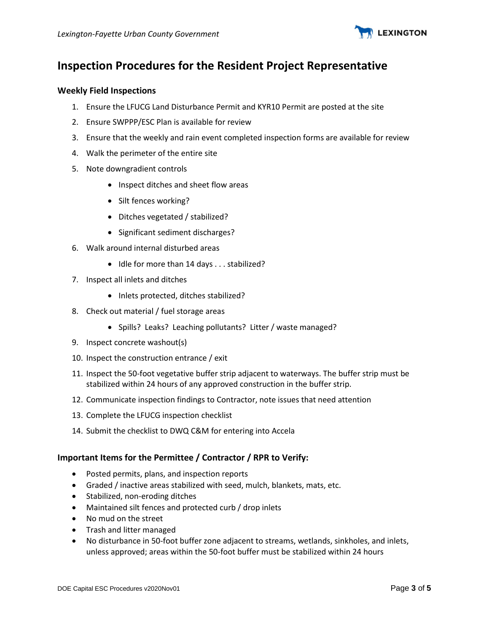

## **Inspection Procedures for the Resident Project Representative**

#### **Weekly Field Inspections**

- 1. Ensure the LFUCG Land Disturbance Permit and KYR10 Permit are posted at the site
- 2. Ensure SWPPP/ESC Plan is available for review
- 3. Ensure that the weekly and rain event completed inspection forms are available for review
- 4. Walk the perimeter of the entire site
- 5. Note downgradient controls
	- Inspect ditches and sheet flow areas
	- Silt fences working?
	- Ditches vegetated / stabilized?
	- Significant sediment discharges?
- 6. Walk around internal disturbed areas
	- Idle for more than 14 days . . . stabilized?
- 7. Inspect all inlets and ditches
	- Inlets protected, ditches stabilized?
- 8. Check out material / fuel storage areas
	- Spills? Leaks? Leaching pollutants? Litter / waste managed?
- 9. Inspect concrete washout(s)
- 10. Inspect the construction entrance / exit
- 11. Inspect the 50-foot vegetative buffer strip adjacent to waterways. The buffer strip must be stabilized within 24 hours of any approved construction in the buffer strip.
- 12. Communicate inspection findings to Contractor, note issues that need attention
- 13. Complete the LFUCG inspection checklist
- 14. Submit the checklist to DWQ C&M for entering into Accela

#### **Important Items for the Permittee / Contractor / RPR to Verify:**

- Posted permits, plans, and inspection reports
- Graded / inactive areas stabilized with seed, mulch, blankets, mats, etc.
- Stabilized, non-eroding ditches
- Maintained silt fences and protected curb / drop inlets
- No mud on the street
- Trash and litter managed
- No disturbance in 50-foot buffer zone adjacent to streams, wetlands, sinkholes, and inlets, unless approved; areas within the 50-foot buffer must be stabilized within 24 hours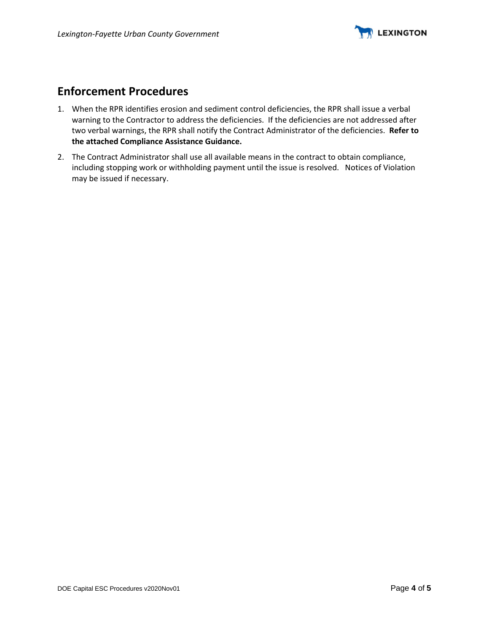

### **Enforcement Procedures**

- 1. When the RPR identifies erosion and sediment control deficiencies, the RPR shall issue a verbal warning to the Contractor to address the deficiencies. If the deficiencies are not addressed after two verbal warnings, the RPR shall notify the Contract Administrator of the deficiencies. **Refer to the attached Compliance Assistance Guidance.**
- 2. The Contract Administrator shall use all available means in the contract to obtain compliance, including stopping work or withholding payment until the issue is resolved. Notices of Violation may be issued if necessary.